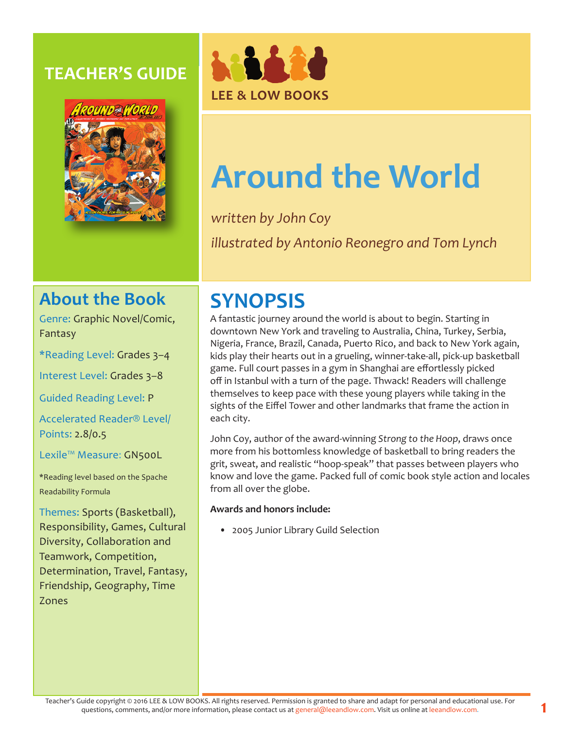### **TEACHER'S GUIDE**





# **Around the World**

*written by John Coy illustrated by Antonio Reonegro and Tom Lynch*

### **About the Book**

Genre: Graphic Novel/Comic, Fantasy

\*Reading Level: Grades 3–4

Interest Level: Grades 3–8

Guided Reading Level: P

Accelerated Reader® Level/ Points: 2.8/0.5

Lexile™ Measure: GN500L

\*Reading level based on the Spache Readability Formula

Themes: Sports (Basketball), Responsibility, Games, Cultural Diversity, Collaboration and Teamwork, Competition, Determination, Travel, Fantasy, Friendship, Geography, Time Zones

## **SYNOPSIS**

A fantastic journey around the world is about to begin. Starting in downtown New York and traveling to Australia, China, Turkey, Serbia, Nigeria, France, Brazil, Canada, Puerto Rico, and back to New York again, kids play their hearts out in a grueling, winner-take-all, pick-up basketball game. Full court passes in a gym in Shanghai are effortlessly picked off in Istanbul with a turn of the page. Thwack! Readers will challenge themselves to keep pace with these young players while taking in the sights of the Eiffel Tower and other landmarks that frame the action in each city.

John Coy, author of the award-winning *Strong to the Hoop*, draws once more from his bottomless knowledge of basketball to bring readers the grit, sweat, and realistic "hoop-speak" that passes between players who know and love the game. Packed full of comic book style action and locales from all over the globe.

#### **Awards and honors include:**

• 2005 Junior Library Guild Selection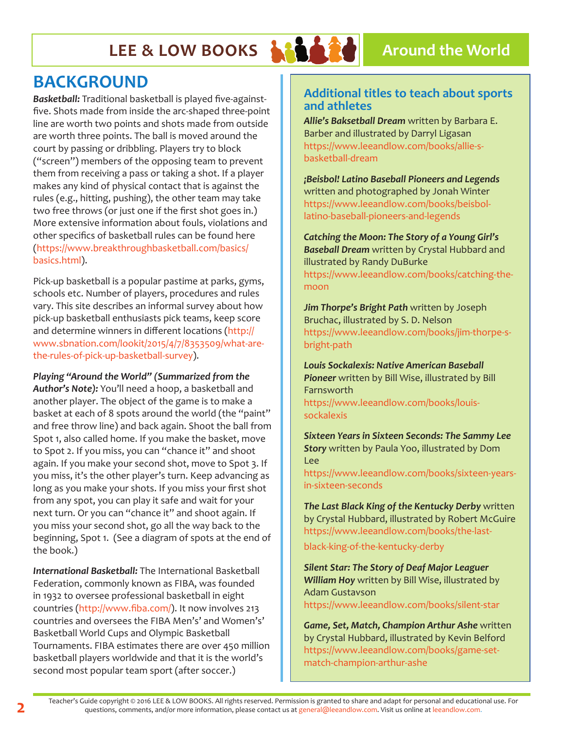## **LEE & LOW BOOKS ARCHIVE A** Around the World



### **BACKGROUND**

*Basketball:* Traditional basketball is played five-againstfive. Shots made from inside the arc-shaped three-point line are worth two points and shots made from outside are worth three points. The ball is moved around the court by passing or dribbling. Players try to block ("screen") members of the opposing team to prevent them from receiving a pass or taking a shot. If a player makes any kind of physical contact that is against the rules (e.g., hitting, pushing), the other team may take two free throws (or just one if the first shot goes in.) More extensive information about fouls, violations and other specifics of basketball rules can be found here (https://www.breakthroughbasketball.com/basics/ basics.html).

Pick-up basketball is a popular pastime at parks, gyms, schools etc. Number of players, procedures and rules vary. This site describes an informal survey about how pick-up basketball enthusiasts pick teams, keep score and determine winners in different locations (http:// www.sbnation.com/lookit/2015/4/7/8353509/what-arethe-rules-of-pick-up-basketball-survey).

#### *Playing "Around the World" (Summarized from the*

*Author's Note):* You'll need a hoop, a basketball and another player. The object of the game is to make a basket at each of 8 spots around the world (the "paint" and free throw line) and back again. Shoot the ball from Spot 1, also called home. If you make the basket, move to Spot 2. If you miss, you can "chance it" and shoot again. If you make your second shot, move to Spot 3. If you miss, it's the other player's turn. Keep advancing as long as you make your shots. If you miss your first shot from any spot, you can play it safe and wait for your next turn. Or you can "chance it" and shoot again. If you miss your second shot, go all the way back to the beginning, Spot 1. (See a diagram of spots at the end of the book.)

*International Basketball:* The International Basketball Federation, commonly known as FIBA, was founded in 1932 to oversee professional basketball in eight countries (http://www.fiba.com/). It now involves 213 countries and oversees the FIBA Men's' and Women's' Basketball World Cups and Olympic Basketball Tournaments. FIBA estimates there are over 450 million basketball players worldwide and that it is the world's second most popular team sport (after soccer.)

#### **Additional titles to teach about sports and athletes**

*Allie's Baksetball Dream* written by Barbara E. Barber and illustrated by Darryl Ligasan https://www.leeandlow.com/books/allie-sbasketball-dream

*¡Beisbol! Latino Baseball Pioneers and Legends*  written and photographed by Jonah Winter https://www.leeandlow.com/books/beisbollatino-baseball-pioneers-and-legends

*Catching the Moon: The Story of a Young Girl's Baseball Dream* written by Crystal Hubbard and illustrated by Randy DuBurke https://www.leeandlow.com/books/catching-themoon

*Jim Thorpe's Bright Path* written by Joseph Bruchac, illustrated by S. D. Nelson https://www.leeandlow.com/books/jim-thorpe-sbright-path

*Louis Sockalexis: Native American Baseball Pioneer* written by Bill Wise, illustrated by Bill Farnsworth https://www.leeandlow.com/books/louis-

sockalexis

*Sixteen Years in Sixteen Seconds: The Sammy Lee Story* written by Paula Yoo, illustrated by Dom Lee

https://www.leeandlow.com/books/sixteen-yearsin-sixteen-seconds

*The Last Black King of the Kentucky Derby* written by Crystal Hubbard, illustrated by Robert McGuire https://www.leeandlow.com/books/the-last-

black-king-of-the-kentucky-derby

*Silent Star: The Story of Deaf Major Leaguer William Hoy* written by Bill Wise, illustrated by Adam Gustavson https://www.leeandlow.com/books/silent-star

*Game, Set, Match, Champion Arthur Ashe* written by Crystal Hubbard, illustrated by Kevin Belford https://www.leeandlow.com/books/game-setmatch-champion-arthur-ashe

**2** Teacher's Guide copyright © 2016 LEE & LOW BOOKS. All rights reserved. Permission is granted to share and adapt for personal and educational use. For questions, comments, and/or more information, please contact us at general@leeandlow.com. Visit us online at leeandlow.com.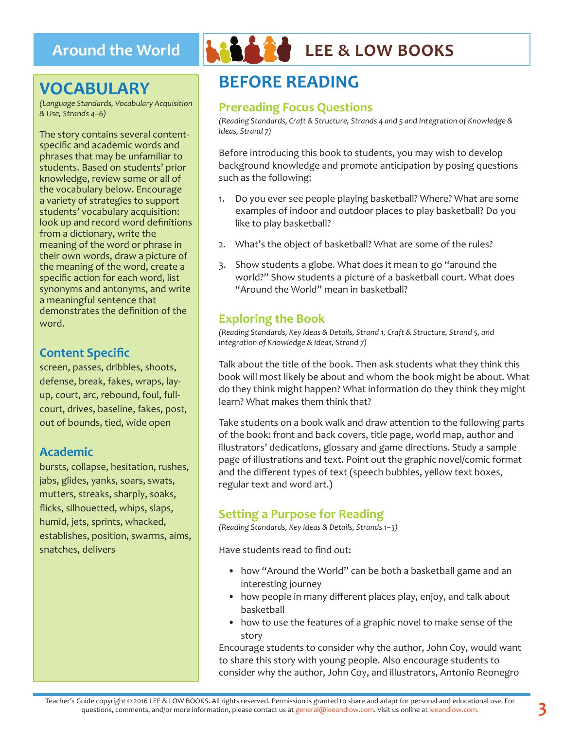### **VOCABULARY**

*(Language Standards, Vocabulary Acquisition & Use, Strands 4–6)*

The story contains several contentspecific and academic words and phrases that may be unfamiliar to students. Based on students' prior knowledge, review some or all of the vocabulary below. Encourage a variety of strategies to support students' vocabulary acquisition: look up and record word definitions from a dictionary, write the meaning of the word or phrase in their own words, draw a picture of the meaning of the word, create a specific action for each word, list synonyms and antonyms, and write a meaningful sentence that demonstrates the definition of the word.

#### **Content Specific**

screen, passes, dribbles, shoots, defense, break, fakes, wraps, layup, court, arc, rebound, foul, fullcourt, drives, baseline, fakes, post, out of bounds, tied, wide open

#### **Academic**

bursts, collapse, hesitation, rushes, jabs, glides, yanks, soars, swats, mutters, streaks, sharply, soaks, flicks, silhouetted, whips, slaps, humid, jets, sprints, whacked, establishes, position, swarms, aims, snatches, delivers



## **Around the World LEE & LOW BOOKS**

### **BEFORE READING**

#### **Prereading Focus Questions**

*(Reading Standards, Craft & Structure, Strands 4 and 5 and Integration of Knowledge & Ideas, Strand 7)*

Before introducing this book to students, you may wish to develop background knowledge and promote anticipation by posing questions such as the following:

- 1. Do you ever see people playing basketball? Where? What are some examples of indoor and outdoor places to play basketball? Do you like to play basketball?
- 2. What's the object of basketball? What are some of the rules?
- 3. Show students a globe. What does it mean to go "around the world?" Show students a picture of a basketball court. What does "Around the World" mean in basketball?

#### **Exploring the Book**

*(Reading Standards, Key Ideas & Details, Strand 1, Craft & Structure, Strand 5, and Integration of Knowledge & Ideas, Strand 7)*

Talk about the title of the book. Then ask students what they think this book will most likely be about and whom the book might be about. What do they think might happen? What information do they think they might learn? What makes them think that?

Take students on a book walk and draw attention to the following parts of the book: front and back covers, title page, world map, author and illustrators' dedications, glossary and game directions. Study a sample page of illustrations and text. Point out the graphic novel/comic format and the different types of text (speech bubbles, yellow text boxes, regular text and word art.)

#### **Setting a Purpose for Reading**

*(Reading Standards, Key Ideas & Details, Strands 1–3)*

Have students read to find out:

- how "Around the World" can be both a basketball game and an interesting journey
- how people in many different places play, enjoy, and talk about basketball
- how to use the features of a graphic novel to make sense of the story

Encourage students to consider why the author, John Coy, would want to share this story with young people. Also encourage students to consider why the author, John Coy, and illustrators, Antonio Reonegro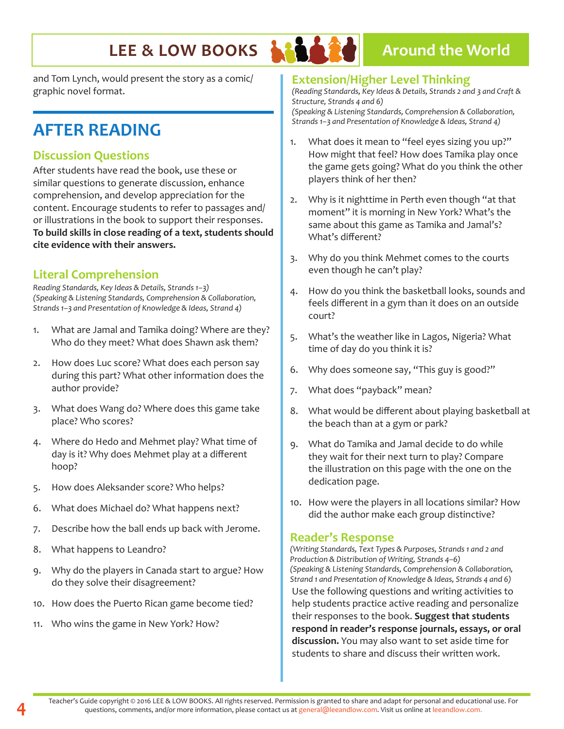### **LEE & LOW BOOKS ARABY Around the World**

and Tom Lynch, would present the story as a comic/ graphic novel format.

### **AFTER READING**

### **Discussion Questions**

After students have read the book, use these or similar questions to generate discussion, enhance comprehension, and develop appreciation for the content. Encourage students to refer to passages and/ or illustrations in the book to support their responses. **To build skills in close reading of a text, students should cite evidence with their answers.**

### **Literal Comprehension**

*Reading Standards, Key Ideas & Details, Strands 1–3) (Speaking & Listening Standards, Comprehension & Collaboration, Strands 1–3 and Presentation of Knowledge & Ideas, Strand 4)*

- 1. What are Jamal and Tamika doing? Where are they? Who do they meet? What does Shawn ask them?
- 2. How does Luc score? What does each person say during this part? What other information does the author provide?
- 3. What does Wang do? Where does this game take place? Who scores?
- 4. Where do Hedo and Mehmet play? What time of day is it? Why does Mehmet play at a different hoop?
- 5. How does Aleksander score? Who helps?
- 6. What does Michael do? What happens next?
- 7. Describe how the ball ends up back with Jerome.
- 8. What happens to Leandro?
- 9. Why do the players in Canada start to argue? How do they solve their disagreement?
- 10. How does the Puerto Rican game become tied?
- 11. Who wins the game in New York? How?

#### **Extension/Higher Level Thinking**

*(Reading Standards, Key Ideas & Details, Strands 2 and 3 and Craft & Structure, Strands 4 and 6) (Speaking & Listening Standards, Comprehension & Collaboration, Strands 1–3 and Presentation of Knowledge & Ideas, Strand 4)*

- 1. What does it mean to "feel eyes sizing you up?" How might that feel? How does Tamika play once the game gets going? What do you think the other players think of her then?
- 2. Why is it nighttime in Perth even though "at that moment" it is morning in New York? What's the same about this game as Tamika and Jamal's? What's different?
- 3. Why do you think Mehmet comes to the courts even though he can't play?
- 4. How do you think the basketball looks, sounds and feels different in a gym than it does on an outside court?
- 5. What's the weather like in Lagos, Nigeria? What time of day do you think it is?
- 6. Why does someone say, "This guy is good?"
- 7. What does "payback" mean?
- 8. What would be different about playing basketball at the beach than at a gym or park?
- 9. What do Tamika and Jamal decide to do while they wait for their next turn to play? Compare the illustration on this page with the one on the dedication page.
- 10. How were the players in all locations similar? How did the author make each group distinctive?

#### **Reader's Response**

*(Writing Standards, Text Types & Purposes, Strands 1 and 2 and Production & Distribution of Writing, Strands 4–6) (Speaking & Listening Standards, Comprehension & Collaboration, Strand 1 and Presentation of Knowledge & Ideas, Strands 4 and 6)*  Use the following questions and writing activities to help students practice active reading and personalize their responses to the book. **Suggest that students respond in reader's response journals, essays, or oral discussion.** You may also want to set aside time for students to share and discuss their written work.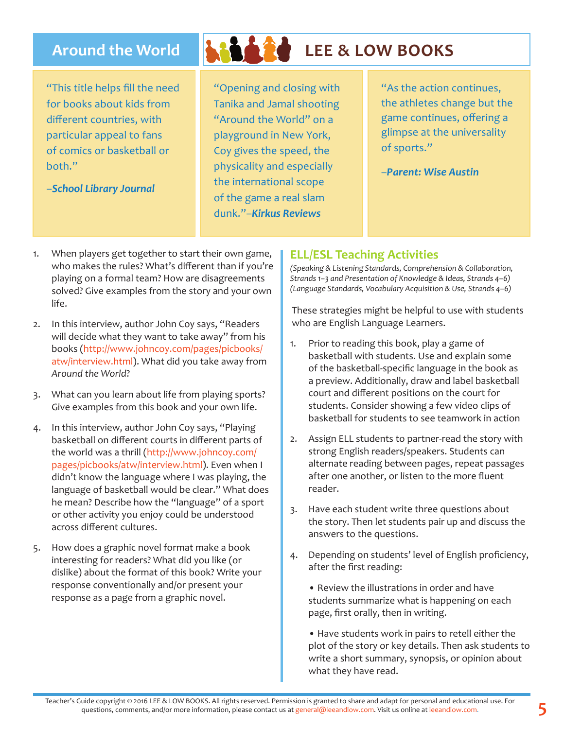"This title helps fill the need for books about kids from different countries, with particular appeal to fans of comics or basketball or hoth"

–*School Library Journal*



## **Around the World LEE & LOW BOOKS**

"Opening and closing with Tanika and Jamal shooting "Around the World" on a playground in New York, Coy gives the speed, the physicality and especially the international scope of the game a real slam dunk."–*Kirkus Reviews* 

"As the action continues, the athletes change but the game continues, offering a glimpse at the universality of sports."

–*Parent: Wise Austin*

- 1. When players get together to start their own game, who makes the rules? What's different than if you're playing on a formal team? How are disagreements solved? Give examples from the story and your own life.
- 2. In this interview, author John Coy says, "Readers will decide what they want to take away" from his books (http://www.johncoy.com/pages/picbooks/ atw/interview.html). What did you take away from *Around the World*?
- 3. What can you learn about life from playing sports? Give examples from this book and your own life.
- 4. In this interview, author John Coy says, "Playing basketball on different courts in different parts of the world was a thrill (http://www.johncoy.com/ pages/picbooks/atw/interview.html). Even when I didn't know the language where I was playing, the language of basketball would be clear." What does he mean? Describe how the "language" of a sport or other activity you enjoy could be understood across different cultures.
- 5. How does a graphic novel format make a book interesting for readers? What did you like (or dislike) about the format of this book? Write your response conventionally and/or present your response as a page from a graphic novel.

#### **ELL/ESL Teaching Activities**

*(Speaking & Listening Standards, Comprehension & Collaboration, Strands 1–3 and Presentation of Knowledge & Ideas, Strands 4–6) (Language Standards, Vocabulary Acquisition & Use, Strands 4–6)*

These strategies might be helpful to use with students who are English Language Learners.

- 1. Prior to reading this book, play a game of basketball with students. Use and explain some of the basketball-specific language in the book as a preview. Additionally, draw and label basketball court and different positions on the court for students. Consider showing a few video clips of basketball for students to see teamwork in action
- 2. Assign ELL students to partner-read the story with strong English readers/speakers. Students can alternate reading between pages, repeat passages after one another, or listen to the more fluent reader.
- 3. Have each student write three questions about the story. Then let students pair up and discuss the answers to the questions.
- 4. Depending on students' level of English proficiency, after the first reading:
	- Review the illustrations in order and have students summarize what is happening on each page, first orally, then in writing.

• Have students work in pairs to retell either the plot of the story or key details. Then ask students to write a short summary, synopsis, or opinion about what they have read.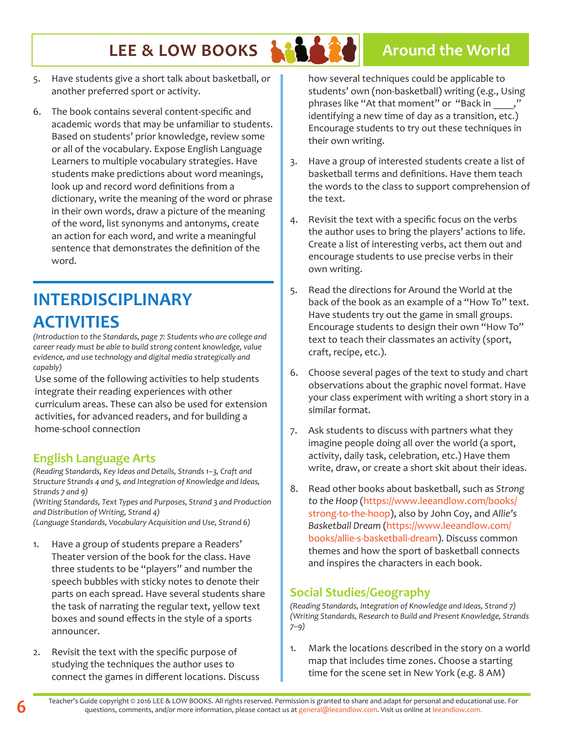### **LEE & LOW BOOKS ARABY Around the World**

- 5. Have students give a short talk about basketball, or another preferred sport or activity.
- 6. The book contains several content-specific and academic words that may be unfamiliar to students. Based on students' prior knowledge, review some or all of the vocabulary. Expose English Language Learners to multiple vocabulary strategies. Have students make predictions about word meanings, look up and record word definitions from a dictionary, write the meaning of the word or phrase in their own words, draw a picture of the meaning of the word, list synonyms and antonyms, create an action for each word, and write a meaningful sentence that demonstrates the definition of the word.

### **INTERDISCIPLINARY ACTIVITIES**

*(Introduction to the Standards, page 7: Students who are college and career ready must be able to build strong content knowledge, value evidence, and use technology and digital media strategically and capably)*

Use some of the following activities to help students integrate their reading experiences with other curriculum areas. These can also be used for extension activities, for advanced readers, and for building a home-school connection

### **English Language Arts**

*(Reading Standards, Key Ideas and Details, Strands 1–3, Craft and Structure Strands 4 and 5, and Integration of Knowledge and Ideas, Strands 7 and 9)*

*(Writing Standards, Text Types and Purposes, Strand 3 and Production and Distribution of Writing, Strand 4)*

*(Language Standards, Vocabulary Acquisition and Use, Strand 6)*

- 1. Have a group of students prepare a Readers' Theater version of the book for the class. Have three students to be "players" and number the speech bubbles with sticky notes to denote their parts on each spread. Have several students share the task of narrating the regular text, yellow text boxes and sound effects in the style of a sports announcer.
- 2. Revisit the text with the specific purpose of studying the techniques the author uses to connect the games in different locations. Discuss

how several techniques could be applicable to students' own (non-basketball) writing (e.g., Using phrases like "At that moment" or "Back in identifying a new time of day as a transition, etc.) Encourage students to try out these techniques in their own writing.

- 3. Have a group of interested students create a list of basketball terms and definitions. Have them teach the words to the class to support comprehension of the text.
- 4. Revisit the text with a specific focus on the verbs the author uses to bring the players' actions to life. Create a list of interesting verbs, act them out and encourage students to use precise verbs in their own writing.
- 5. Read the directions for Around the World at the back of the book as an example of a "How To" text. Have students try out the game in small groups. Encourage students to design their own "How To" text to teach their classmates an activity (sport, craft, recipe, etc.).
- 6. Choose several pages of the text to study and chart observations about the graphic novel format. Have your class experiment with writing a short story in a similar format.
- 7. Ask students to discuss with partners what they imagine people doing all over the world (a sport, activity, daily task, celebration, etc.) Have them write, draw, or create a short skit about their ideas.
- 8. Read other books about basketball, such as *Strong to the Hoop* (https://www.leeandlow.com/books/ strong-to-the-hoop), also by John Coy, and *Allie's Basketball Dream* (https://www.leeandlow.com/ books/allie-s-basketball-dream). Discuss common themes and how the sport of basketball connects and inspires the characters in each book.

### **Social Studies/Geography**

*(Reading Standards, Integration of Knowledge and Ideas, Strand 7) (Writing Standards, Research to Build and Present Knowledge, Strands 7–9)*

1. Mark the locations described in the story on a world map that includes time zones. Choose a starting time for the scene set in New York (e.g. 8 AM)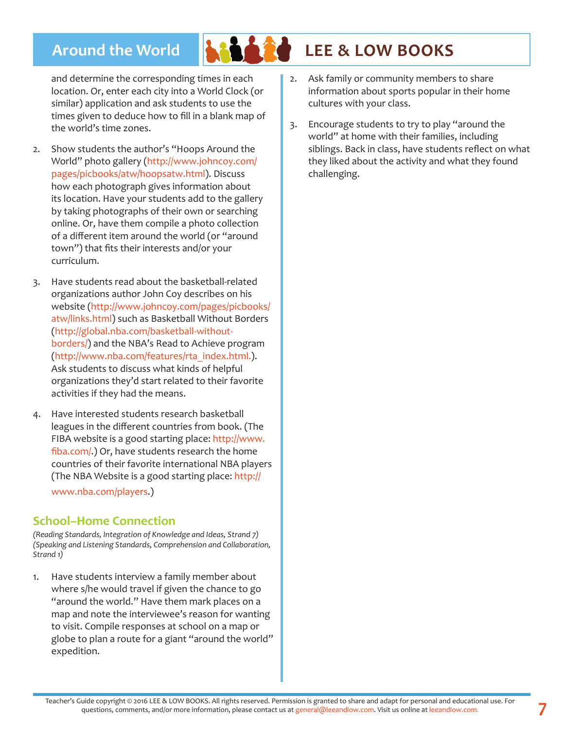

### **Around the World LEE & LOW BOOKS**

and determine the corresponding times in each location. Or, enter each city into a World Clock (or similar) application and ask students to use the times given to deduce how to fill in a blank map of the world's time zones.

- 2. Show students the author's "Hoops Around the World" photo gallery (http://www.johncoy.com/ pages/picbooks/atw/hoopsatw.html). Discuss how each photograph gives information about its location. Have your students add to the gallery by taking photographs of their own or searching online. Or, have them compile a photo collection of a different item around the world (or "around town") that fits their interests and/or your curriculum.
- 3. Have students read about the basketball-related organizations author John Coy describes on his website (http://www.johncoy.com/pages/picbooks/ atw/links.html) such as Basketball Without Borders (http://global.nba.com/basketball-withoutborders/) and the NBA's Read to Achieve program (http://www.nba.com/features/rta\_index.html.). Ask students to discuss what kinds of helpful organizations they'd start related to their favorite activities if they had the means.
- 4. Have interested students research basketball leagues in the different countries from book. (The FIBA website is a good starting place: http://www. fiba.com/.) Or, have students research the home countries of their favorite international NBA players (The NBA Website is a good starting place: http:// www.nba.com/players.)

#### **School–Home Connection**

*(Reading Standards, Integration of Knowledge and Ideas, Strand 7) (Speaking and Listening Standards, Comprehension and Collaboration, Strand 1)*

1. Have students interview a family member about where s/he would travel if given the chance to go "around the world." Have them mark places on a map and note the interviewee's reason for wanting to visit. Compile responses at school on a map or globe to plan a route for a giant "around the world" expedition.

- 2. Ask family or community members to share information about sports popular in their home cultures with your class.
- 3. Encourage students to try to play "around the world" at home with their families, including siblings. Back in class, have students reflect on what they liked about the activity and what they found challenging.